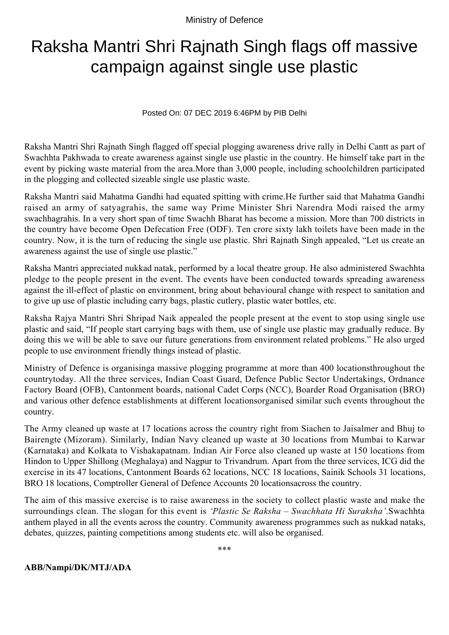Ministry of Defence

## Raksha Mantri Shri Rajnath Singh flags off massive campaign against single use plastic

Posted On: 07 DEC 2019 6:46PM by PIB Delhi

Raksha Mantri Shri Rajnath Singh flagged off special plogging awareness drive rally in Delhi Cantt as part of Swachhta Pakhwada to create awareness against single use plastic in the country. He himself take part in the event by picking waste material from the area.More than 3,000 people, including schoolchildren participated in the plogging and collected sizeable single use plastic waste.

Raksha Mantri said Mahatma Gandhi had equated spitting with crime.He further said that Mahatma Gandhi raised an army of satyagrahis, the same way Prime Minister Shri Narendra Modi raised the army swachhagrahis. In a very short span of time Swachh Bharat has become a mission. More than 700 districts in the country have become Open Defecation Free (ODF). Ten crore sixty lakh toilets have been made in the country. Now, it is the turn of reducing the single use plastic. Shri Rajnath Singh appealed, "Let us create an awareness against the use of single use plastic."

Raksha Mantri appreciated nukkad natak, performed by a local theatre group. He also administered Swachhta pledge to the people present in the event. The events have been conducted towards spreading awareness against the ill-effect of plastic on environment, bring about behavioural change with respect to sanitation and to give up use of plastic including carry bags, plastic cutlery, plastic water bottles, etc.

Raksha Rajya Mantri Shri Shripad Naik appealed the people present at the event to stop using single use plastic and said, "If people start carrying bags with them, use of single use plastic may gradually reduce. By doing this we will be able to save our future generations from environment related problems." He also urged people to use environment friendly things instead of plastic.

Ministry of Defence is organisinga massive plogging programme at more than 400 locationsthroughout the countrytoday. All the three services, Indian Coast Guard, Defence Public Sector Undertakings, Ordnance Factory Board (OFB), Cantonment boards, national Cadet Corps (NCC), Boarder Road Organisation (BRO) and various other defence establishments at different locationsorganised similar such events throughout the country.

The Army cleaned up waste at 17 locations across the country right from Siachen to Jaisalmer and Bhuj to Bairengte (Mizoram). Similarly, Indian Navy cleaned up waste at 30 locations from Mumbai to Karwar (Karnataka) and Kolkata to Vishakapatnam. Indian Air Force also cleaned up waste at 150 locations from Hindon to Upper Shillong (Meghalaya) and Nagpur to Trivandrum. Apart from the three services, ICG did the exercise in its 47 locations, Cantonment Boards 62 locations, NCC 18 locations, Sainik Schools 31 locations, BRO 18 locations, Comptroller General of Defence Accounts 20 locationsacross the country.

The aim of this massive exercise is to raise awareness in the society to collect plastic waste and make the surroundings clean. The slogan for this event is *'Plastic Se Raksha – Swachhata Hi Suraksha'*.Swachhta anthem played in all the events across the country. Community awareness programmes such as nukkad nataks, debates, quizzes, painting competitions among students etc. will also be organised.

\*\*\*

**ABB/Nampi/DK/MTJ/ADA**